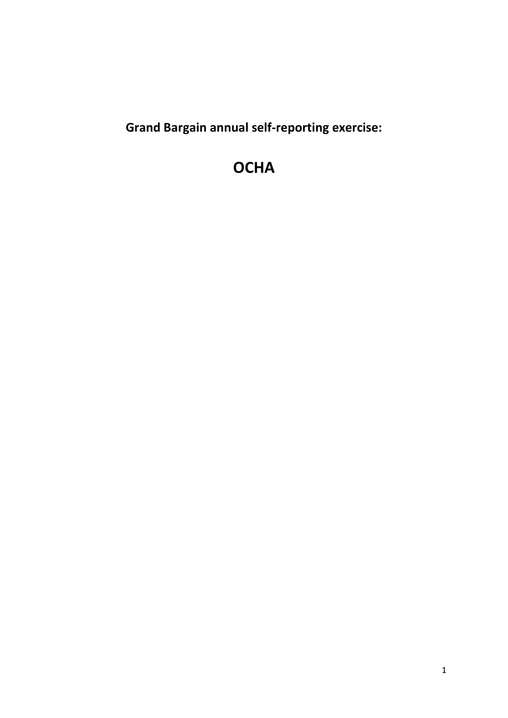**Grand Bargain annual self-reporting exercise:** 

# **OCHA**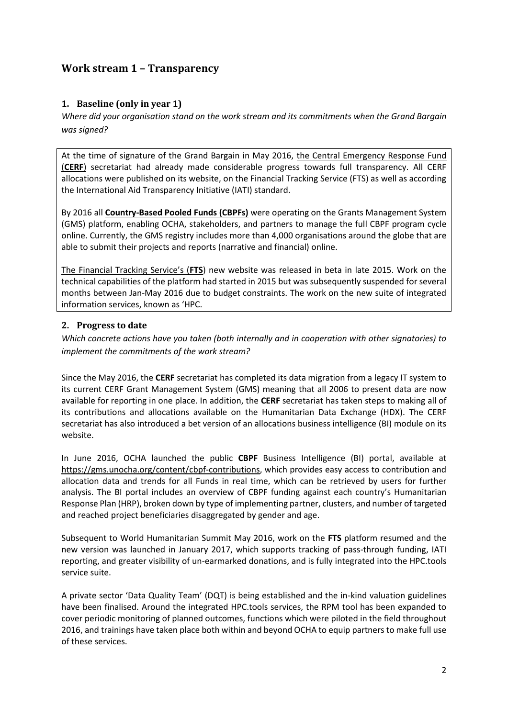# **Work stream 1 – Transparency**

## **1. Baseline (only in year 1)**

*Where did your organisation stand on the work stream and its commitments when the Grand Bargain was signed?*

At the time of signature of the Grand Bargain in May 2016, the Central Emergency Response Fund (**CERF**) secretariat had already made considerable progress towards full transparency. All CERF allocations were published on its website, on the Financial Tracking Service (FTS) as well as according the International Aid Transparency Initiative (IATI) standard.

By 2016 all **[Country-Based Pooled Funds \(CBPFs\)](http://www.unocha.org/what-we-do/humanitarian-financing/country-based-pooled-funds)** were operating on the Grants Management System (GMS) platform, enabling OCHA, stakeholders, and partners to manage the full CBPF program cycle online. Currently, the GMS registry includes more than 4,000 organisations around the globe that are able to submit their projects and reports (narrative and financial) online.

The Financial Tracking Service's (**FTS**) new website was released in beta in late 2015. Work on the technical capabilities of the platform had started in 2015 but was subsequently suspended for several months between Jan-May 2016 due to budget constraints. The work on the new suite of integrated information services, known as 'HPC.

#### **2. Progress to date**

*Which concrete actions have you taken (both internally and in cooperation with other signatories) to implement the commitments of the work stream?* 

Since the May 2016, the **CERF** secretariat has completed its data migration from a legacy IT system to its current CERF Grant Management System (GMS) meaning that all 2006 to present data are now available for reporting in one place. In addition, the **CERF** secretariat has taken steps to making all of its contributions and allocations available on the Humanitarian Data Exchange (HDX). The CERF secretariat has also introduced a bet version of an allocations business intelligence (BI) module on its website.

In June 2016, OCHA launched the public **CBPF** Business Intelligence (BI) portal, available at [https://gms.unocha.org/content/cbpf-contributions,](https://gms.unocha.org/content/cbpf-contributions) which provides easy access to contribution and allocation data and trends for all Funds in real time, which can be retrieved by users for further analysis. The BI portal includes an overview of CBPF funding against each country's Humanitarian Response Plan (HRP), broken down by type of implementing partner, clusters, and number of targeted and reached project beneficiaries disaggregated by gender and age.

Subsequent to World Humanitarian Summit May 2016, work on the **FTS** platform resumed and the new version was launched in January 2017, which supports tracking of pass-through funding, IATI reporting, and greater visibility of un-earmarked donations, and is fully integrated into the HPC.tools service suite.

A private sector 'Data Quality Team' (DQT) is being established and the in-kind valuation guidelines have been finalised. Around the integrated HPC.tools services, the RPM tool has been expanded to cover periodic monitoring of planned outcomes, functions which were piloted in the field throughout 2016, and trainings have taken place both within and beyond OCHA to equip partners to make full use of these services.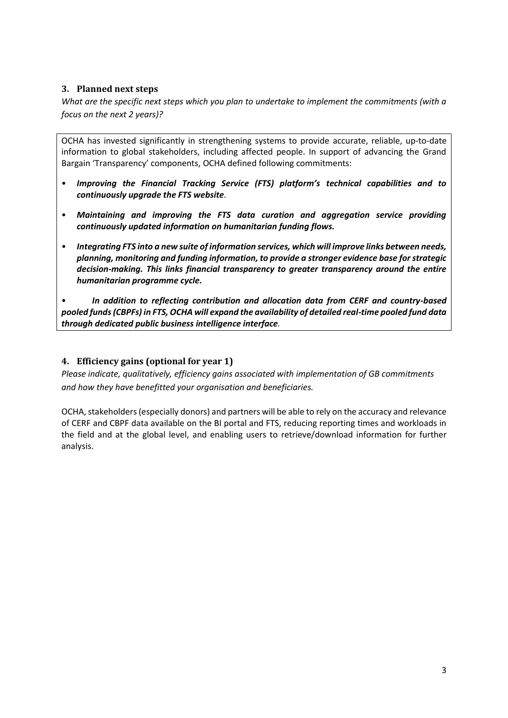## **3. Planned next steps**

*What are the specific next steps which you plan to undertake to implement the commitments (with a focus on the next 2 years)?*

OCHA has invested significantly in strengthening systems to provide accurate, reliable, up-to-date information to global stakeholders, including affected people. In support of advancing the Grand Bargain 'Transparency' components, OCHA defined following commitments:

- *Improving the Financial Tracking Service (FTS) platform's technical capabilities and to continuously upgrade the FTS website.*
- *Maintaining and improving the FTS data curation and aggregation service providing continuously updated information on humanitarian funding flows.*
- *Integrating FTS into a new suite of information services, which will improve links between needs, planning, monitoring and funding information, to provide a stronger evidence base for strategic decision-making. This links financial transparency to greater transparency around the entire humanitarian programme cycle.*

• *In addition to reflecting contribution and allocation data from CERF and country-based pooled funds (CBPFs) in FTS, OCHA will expand the availability of detailed real-time pooled fund data through dedicated public business intelligence interface.* 

#### **4. Efficiency gains (optional for year 1)**

*Please indicate, qualitatively, efficiency gains associated with implementation of GB commitments and how they have benefitted your organisation and beneficiaries.*

OCHA, stakeholders (especially donors) and partners will be able to rely on the accuracy and relevance of CERF and CBPF data available on the BI portal and FTS, reducing reporting times and workloads in the field and at the global level, and enabling users to retrieve/download information for further analysis.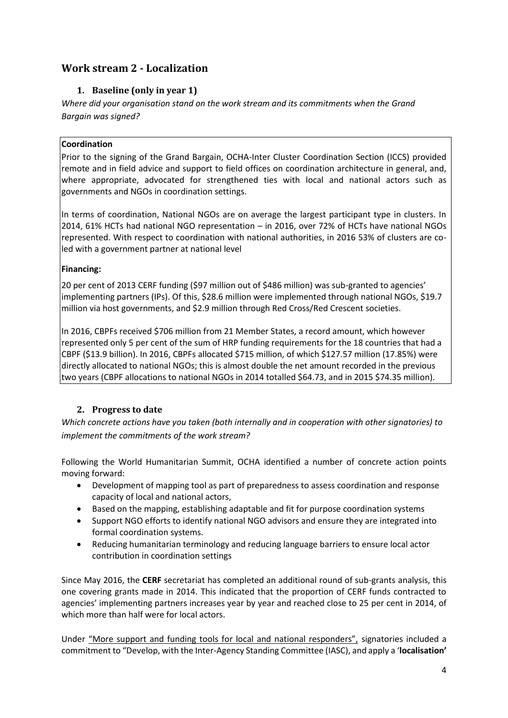# **Work stream 2 - Localization**

# **1. Baseline (only in year 1)**

*Where did your organisation stand on the work stream and its commitments when the Grand Bargain was signed?*

# **Coordination**

Prior to the signing of the Grand Bargain, OCHA-Inter Cluster Coordination Section (ICCS) provided remote and in field advice and support to field offices on coordination architecture in general, and, where appropriate, advocated for strengthened ties with local and national actors such as governments and NGOs in coordination settings.

In terms of coordination, National NGOs are on average the largest participant type in clusters. In 2014, 61% HCTs had national NGO representation – in 2016, over 72% of HCTs have national NGOs represented. With respect to coordination with national authorities, in 2016 53% of clusters are coled with a government partner at national level

## **Financing:**

20 per cent of 2013 CERF funding (\$97 million out of \$486 million) was sub-granted to agencies' implementing partners (IPs). Of this, \$28.6 million were implemented through national NGOs, \$19.7 million via host governments, and \$2.9 million through Red Cross/Red Crescent societies.

In 2016, CBPFs received \$706 million from 21 Member States, a record amount, which however represented only 5 per cent of the sum of HRP funding requirements for the 18 countries that had a CBPF (\$13.9 billion). In 2016, CBPFs allocated \$715 million, of which \$127.57 million (17.85%) were directly allocated to national NGOs; this is almost double the net amount recorded in the previous two years (CBPF allocations to national NGOs in 2014 totalled \$64.73, and in 2015 \$74.35 million).

# **2. Progress to date**

*Which concrete actions have you taken (both internally and in cooperation with other signatories) to implement the commitments of the work stream?* 

Following the World Humanitarian Summit, OCHA identified a number of concrete action points moving forward:

- Development of mapping tool as part of preparedness to assess coordination and response capacity of local and national actors,
- Based on the mapping, establishing adaptable and fit for purpose coordination systems
- Support NGO efforts to identify national NGO advisors and ensure they are integrated into formal coordination systems.
- Reducing humanitarian terminology and reducing language barriers to ensure local actor contribution in coordination settings

Since May 2016, the **CERF** secretariat has completed an additional round of sub-grants analysis, this one covering grants made in 2014. This indicated that the proportion of CERF funds contracted to agencies' implementing partners increases year by year and reached close to 25 per cent in 2014, of which more than half were for local actors.

Under "More support and funding tools for local and national responders", signatories included a commitment to "Develop, with the Inter-Agency Standing Committee (IASC), and apply a '**localisation'**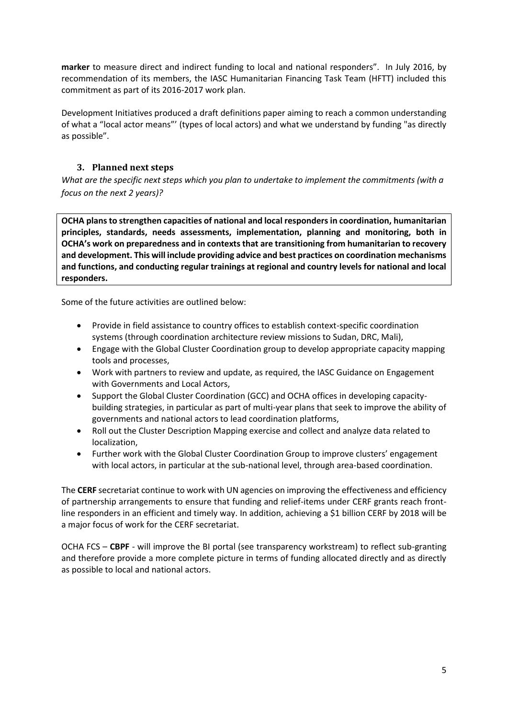**marker** to measure direct and indirect funding to local and national responders". In July 2016, by recommendation of its members, the IASC Humanitarian Financing Task Team (HFTT) included this commitment as part of its 2016-2017 work plan.

Development Initiatives produced a draft definitions paper aiming to reach a common understanding of what a "local actor means"' (types of local actors) and what we understand by funding "as directly as possible".

# **3. Planned next steps**

*What are the specific next steps which you plan to undertake to implement the commitments (with a focus on the next 2 years)?*

**OCHA plans to strengthen capacities of national and local responders in coordination, humanitarian principles, standards, needs assessments, implementation, planning and monitoring, both in OCHA's work on preparedness and in contexts that are transitioning from humanitarian to recovery and development. This will include providing advice and best practices on coordination mechanisms and functions, and conducting regular trainings at regional and country levels for national and local responders.** 

Some of the future activities are outlined below:

- Provide in field assistance to country offices to establish context-specific coordination systems (through coordination architecture review missions to Sudan, DRC, Mali),
- Engage with the Global Cluster Coordination group to develop appropriate capacity mapping tools and processes,
- Work with partners to review and update, as required, the IASC Guidance on Engagement with Governments and Local Actors,
- Support the Global Cluster Coordination (GCC) and OCHA offices in developing capacitybuilding strategies, in particular as part of multi-year plans that seek to improve the ability of governments and national actors to lead coordination platforms,
- Roll out the Cluster Description Mapping exercise and collect and analyze data related to localization,
- Further work with the Global Cluster Coordination Group to improve clusters' engagement with local actors, in particular at the sub-national level, through area-based coordination.

The **CERF** secretariat continue to work with UN agencies on improving the effectiveness and efficiency of partnership arrangements to ensure that funding and relief-items under CERF grants reach frontline responders in an efficient and timely way. In addition, achieving a \$1 billion CERF by 2018 will be a major focus of work for the CERF secretariat.

OCHA FCS – **CBPF** - will improve the BI portal (see transparency workstream) to reflect sub-granting and therefore provide a more complete picture in terms of funding allocated directly and as directly as possible to local and national actors.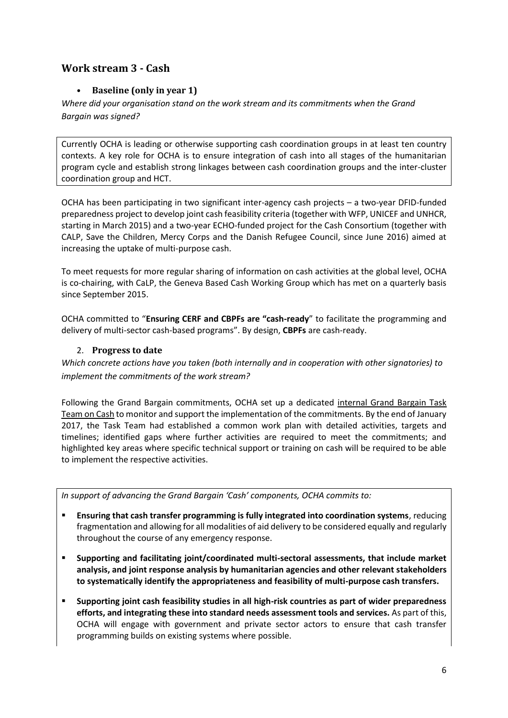# **Work stream 3 - Cash**

# • **Baseline (only in year 1)**

*Where did your organisation stand on the work stream and its commitments when the Grand Bargain was signed?*

Currently OCHA is leading or otherwise supporting cash coordination groups in at least ten country contexts. A key role for OCHA is to ensure integration of cash into all stages of the humanitarian program cycle and establish strong linkages between cash coordination groups and the inter-cluster coordination group and HCT.

OCHA has been participating in two significant inter-agency cash projects – a two-year DFID-funded preparedness project to develop joint cash feasibility criteria (together with WFP, UNICEF and UNHCR, starting in March 2015) and a two-year ECHO-funded project for the Cash Consortium (together with CALP, Save the Children, Mercy Corps and the Danish Refugee Council, since June 2016) aimed at increasing the uptake of multi-purpose cash.

To meet requests for more regular sharing of information on cash activities at the global level, OCHA is co-chairing, with CaLP, the Geneva Based Cash Working Group which has met on a quarterly basis since September 2015.

OCHA committed to "**Ensuring CERF and CBPFs are "cash-ready**" to facilitate the programming and delivery of multi-sector cash-based programs". By design, **CBPFs** are cash-ready.

## 2. **Progress to date**

*Which concrete actions have you taken (both internally and in cooperation with other signatories) to implement the commitments of the work stream?* 

Following the Grand Bargain commitments, OCHA set up a dedicated internal Grand Bargain Task Team on Cash to monitor and support the implementation of the commitments. By the end of January 2017, the Task Team had established a common work plan with detailed activities, targets and timelines; identified gaps where further activities are required to meet the commitments; and highlighted key areas where specific technical support or training on cash will be required to be able to implement the respective activities.

*In support of advancing the Grand Bargain 'Cash' components, OCHA commits to:*

- **Ensuring that cash transfer programming is fully integrated into coordination systems**, reducing fragmentation and allowing for all modalities of aid delivery to be considered equally and regularly throughout the course of any emergency response.
- **Supporting and facilitating joint/coordinated multi-sectoral assessments, that include market analysis, and joint response analysis by humanitarian agencies and other relevant stakeholders to systematically identify the appropriateness and feasibility of multi-purpose cash transfers.**
- **Supporting joint cash feasibility studies in all high-risk countries as part of wider preparedness efforts, and integrating these into standard needs assessment tools and services.** As part of this, OCHA will engage with government and private sector actors to ensure that cash transfer programming builds on existing systems where possible.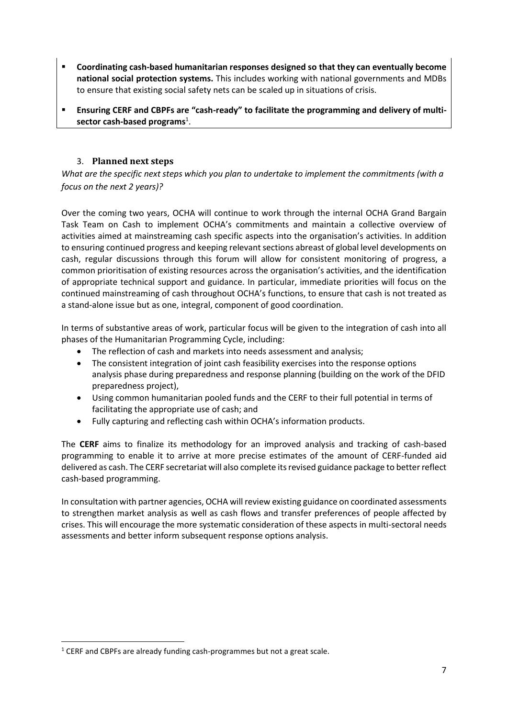- **Coordinating cash-based humanitarian responses designed so that they can eventually become national social protection systems.** This includes working with national governments and MDBs to ensure that existing social safety nets can be scaled up in situations of crisis.
- **Ensuring CERF and CBPFs are "cash-ready" to facilitate the programming and delivery of multi**sector cash-based programs<sup>1</sup>.

# 3. **Planned next steps**

*What are the specific next steps which you plan to undertake to implement the commitments (with a focus on the next 2 years)?*

Over the coming two years, OCHA will continue to work through the internal OCHA Grand Bargain Task Team on Cash to implement OCHA's commitments and maintain a collective overview of activities aimed at mainstreaming cash specific aspects into the organisation's activities. In addition to ensuring continued progress and keeping relevant sections abreast of global level developments on cash, regular discussions through this forum will allow for consistent monitoring of progress, a common prioritisation of existing resources across the organisation's activities, and the identification of appropriate technical support and guidance. In particular, immediate priorities will focus on the continued mainstreaming of cash throughout OCHA's functions, to ensure that cash is not treated as a stand-alone issue but as one, integral, component of good coordination.

In terms of substantive areas of work, particular focus will be given to the integration of cash into all phases of the Humanitarian Programming Cycle, including:

- The reflection of cash and markets into needs assessment and analysis;
- The consistent integration of joint cash feasibility exercises into the response options analysis phase during preparedness and response planning (building on the work of the DFID preparedness project),
- Using common humanitarian pooled funds and the CERF to their full potential in terms of facilitating the appropriate use of cash; and
- Fully capturing and reflecting cash within OCHA's information products.

The **CERF** aims to finalize its methodology for an improved analysis and tracking of cash-based programming to enable it to arrive at more precise estimates of the amount of CERF-funded aid delivered as cash. The CERF secretariat will also complete its revised guidance package to better reflect cash-based programming.

In consultation with partner agencies, OCHA will review existing guidance on coordinated assessments to strengthen market analysis as well as cash flows and transfer preferences of people affected by crises. This will encourage the more systematic consideration of these aspects in multi-sectoral needs assessments and better inform subsequent response options analysis.

**.** 

<sup>&</sup>lt;sup>1</sup> CERF and CBPFs are already funding cash-programmes but not a great scale.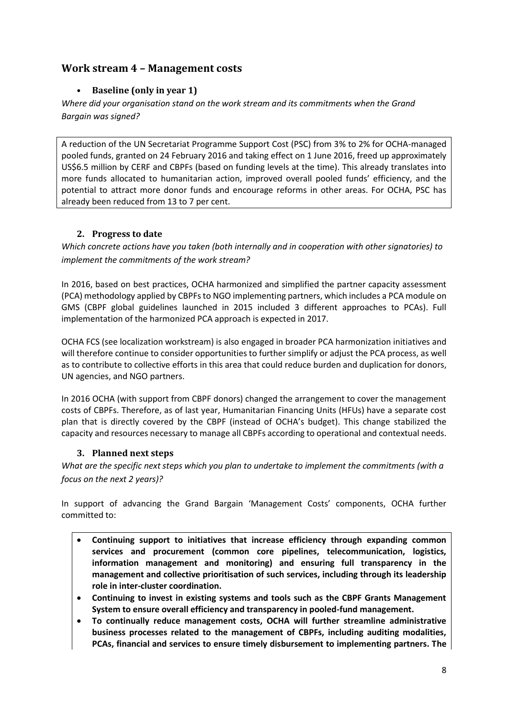# **Work stream 4 – Management costs**

# • **Baseline (only in year 1)**

*Where did your organisation stand on the work stream and its commitments when the Grand Bargain was signed?*

A reduction of the UN Secretariat Programme Support Cost (PSC) from 3% to 2% for OCHA-managed pooled funds, granted on 24 February 2016 and taking effect on 1 June 2016, freed up approximately US\$6.5 million by CERF and CBPFs (based on funding levels at the time). This already translates into more funds allocated to humanitarian action, improved overall pooled funds' efficiency, and the potential to attract more donor funds and encourage reforms in other areas. For OCHA, PSC has already been reduced from 13 to 7 per cent.

# **2. Progress to date**

*Which concrete actions have you taken (both internally and in cooperation with other signatories) to implement the commitments of the work stream?* 

In 2016, based on best practices, OCHA harmonized and simplified the partner capacity assessment (PCA) methodology applied by CBPFs to NGO implementing partners, which includes a PCA module on GMS (CBPF global guidelines launched in 2015 included 3 different approaches to PCAs). Full implementation of the harmonized PCA approach is expected in 2017.

OCHA FCS (see localization workstream) is also engaged in broader PCA harmonization initiatives and will therefore continue to consider opportunities to further simplify or adjust the PCA process, as well as to contribute to collective efforts in this area that could reduce burden and duplication for donors, UN agencies, and NGO partners.

In 2016 OCHA (with support from CBPF donors) changed the arrangement to cover the management costs of CBPFs. Therefore, as of last year, Humanitarian Financing Units (HFUs) have a separate cost plan that is directly covered by the CBPF (instead of OCHA's budget). This change stabilized the capacity and resources necessary to manage all CBPFs according to operational and contextual needs.

# **3. Planned next steps**

*What are the specific next steps which you plan to undertake to implement the commitments (with a focus on the next 2 years)?*

In support of advancing the Grand Bargain 'Management Costs' components, OCHA further committed to:

- **Continuing support to initiatives that increase efficiency through expanding common services and procurement (common core pipelines, telecommunication, logistics, information management and monitoring) and ensuring full transparency in the management and collective prioritisation of such services, including through its leadership role in inter-cluster coordination.**
- **Continuing to invest in existing systems and tools such as the CBPF Grants Management System to ensure overall efficiency and transparency in pooled-fund management.**
- **To continually reduce management costs, OCHA will further streamline administrative business processes related to the management of CBPFs, including auditing modalities, PCAs, financial and services to ensure timely disbursement to implementing partners. The**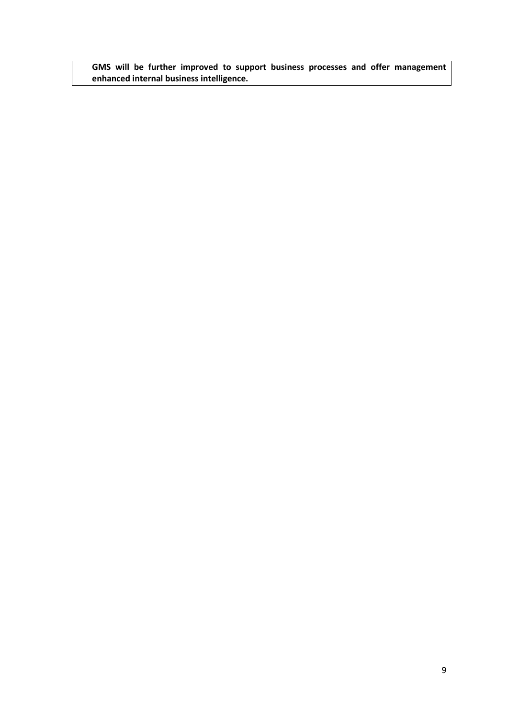**GMS will be further improved to support business processes and offer management enhanced internal business intelligence.**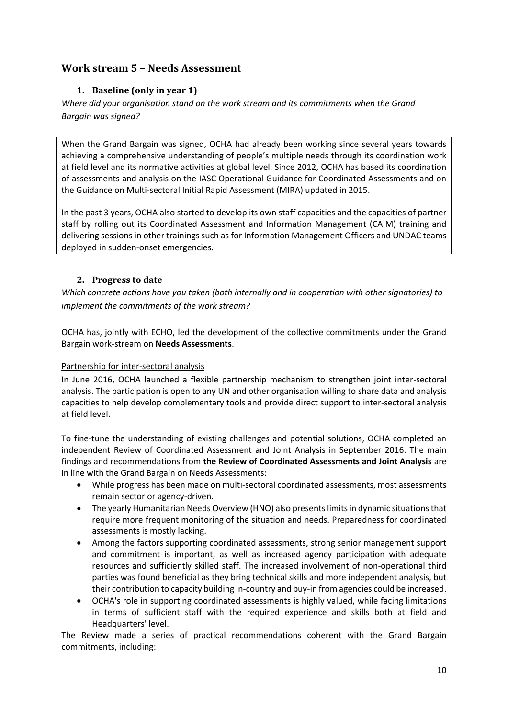# **Work stream 5 – Needs Assessment**

# **1. Baseline (only in year 1)**

*Where did your organisation stand on the work stream and its commitments when the Grand Bargain was signed?*

When the Grand Bargain was signed, OCHA had already been working since several years towards achieving a comprehensive understanding of people's multiple needs through its coordination work at field level and its normative activities at global level. Since 2012, OCHA has based its coordination of assessments and analysis on the IASC Operational Guidance for Coordinated Assessments and on the Guidance on Multi-sectoral Initial Rapid Assessment (MIRA) updated in 2015.

In the past 3 years, OCHA also started to develop its own staff capacities and the capacities of partner staff by rolling out its Coordinated Assessment and Information Management (CAIM) training and delivering sessions in other trainings such as for Information Management Officers and UNDAC teams deployed in sudden-onset emergencies.

# **2. Progress to date**

*Which concrete actions have you taken (both internally and in cooperation with other signatories) to implement the commitments of the work stream?* 

OCHA has, jointly with ECHO, led the development of the collective commitments under the Grand Bargain work-stream on **Needs Assessments**.

#### Partnership for inter-sectoral analysis

In June 2016, OCHA launched a flexible partnership mechanism to strengthen joint inter-sectoral analysis. The participation is open to any UN and other organisation willing to share data and analysis capacities to help develop complementary tools and provide direct support to inter-sectoral analysis at field level.

To fine-tune the understanding of existing challenges and potential solutions, OCHA completed an independent Review of Coordinated Assessment and Joint Analysis in September 2016. The main findings and recommendations from **the Review of Coordinated Assessments and Joint Analysis** are in line with the Grand Bargain on Needs Assessments:

- While progress has been made on multi-sectoral coordinated assessments, most assessments remain sector or agency-driven.
- The yearly Humanitarian Needs Overview (HNO) also presents limits in dynamic situations that require more frequent monitoring of the situation and needs. Preparedness for coordinated assessments is mostly lacking.
- Among the factors supporting coordinated assessments, strong senior management support and commitment is important, as well as increased agency participation with adequate resources and sufficiently skilled staff. The increased involvement of non-operational third parties was found beneficial as they bring technical skills and more independent analysis, but their contribution to capacity building in-country and buy-in from agencies could be increased.
- OCHA's role in supporting coordinated assessments is highly valued, while facing limitations in terms of sufficient staff with the required experience and skills both at field and Headquarters' level.

The Review made a series of practical recommendations coherent with the Grand Bargain commitments, including: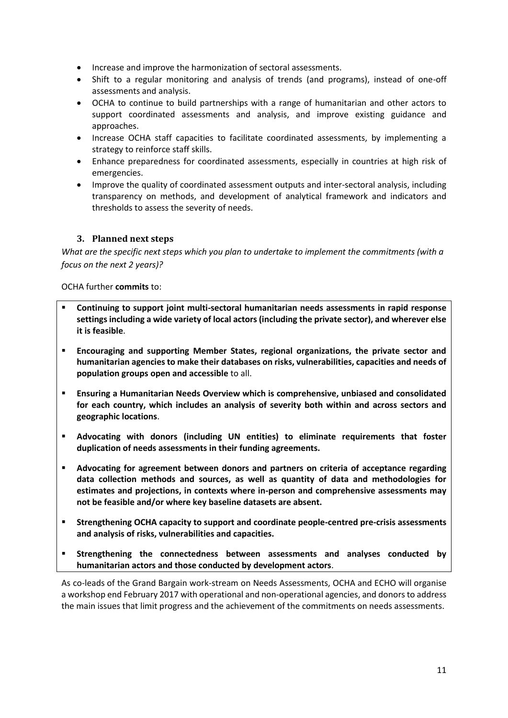- Increase and improve the harmonization of sectoral assessments.
- Shift to a regular monitoring and analysis of trends (and programs), instead of one-off assessments and analysis.
- OCHA to continue to build partnerships with a range of humanitarian and other actors to support coordinated assessments and analysis, and improve existing guidance and approaches.
- Increase OCHA staff capacities to facilitate coordinated assessments, by implementing a strategy to reinforce staff skills.
- Enhance preparedness for coordinated assessments, especially in countries at high risk of emergencies.
- Improve the quality of coordinated assessment outputs and inter-sectoral analysis, including transparency on methods, and development of analytical framework and indicators and thresholds to assess the severity of needs.

#### **3. Planned next steps**

*What are the specific next steps which you plan to undertake to implement the commitments (with a focus on the next 2 years)?*

#### OCHA further **commits** to:

- **Continuing to support joint multi-sectoral humanitarian needs assessments in rapid response settings including a wide variety of local actors (including the private sector), and wherever else it is feasible**.
- **Encouraging and supporting Member States, regional organizations, the private sector and humanitarian agencies to make their databases on risks, vulnerabilities, capacities and needs of population groups open and accessible** to all.
- **Ensuring a Humanitarian Needs Overview which is comprehensive, unbiased and consolidated for each country, which includes an analysis of severity both within and across sectors and geographic locations**.
- **Advocating with donors (including UN entities) to eliminate requirements that foster duplication of needs assessments in their funding agreements.**
- **Advocating for agreement between donors and partners on criteria of acceptance regarding data collection methods and sources, as well as quantity of data and methodologies for estimates and projections, in contexts where in-person and comprehensive assessments may not be feasible and/or where key baseline datasets are absent.**
- **Strengthening OCHA capacity to support and coordinate people-centred pre-crisis assessments and analysis of risks, vulnerabilities and capacities.**
- **Strengthening the connectedness between assessments and analyses conducted by humanitarian actors and those conducted by development actors**.

As co-leads of the Grand Bargain work-stream on Needs Assessments, OCHA and ECHO will organise a workshop end February 2017 with operational and non-operational agencies, and donors to address the main issues that limit progress and the achievement of the commitments on needs assessments.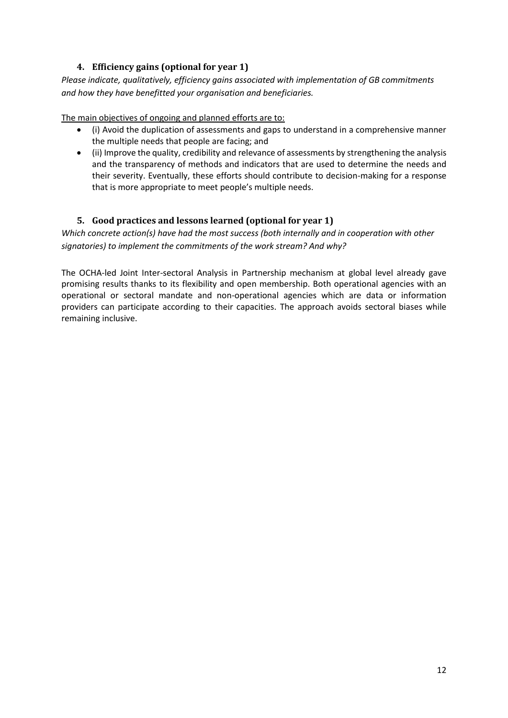# **4. Efficiency gains (optional for year 1)**

*Please indicate, qualitatively, efficiency gains associated with implementation of GB commitments and how they have benefitted your organisation and beneficiaries.*

The main objectives of ongoing and planned efforts are to:

- (i) Avoid the duplication of assessments and gaps to understand in a comprehensive manner the multiple needs that people are facing; and
- (ii) Improve the quality, credibility and relevance of assessments by strengthening the analysis and the transparency of methods and indicators that are used to determine the needs and their severity. Eventually, these efforts should contribute to decision-making for a response that is more appropriate to meet people's multiple needs.

## **5. Good practices and lessons learned (optional for year 1)**

*Which concrete action(s) have had the most success (both internally and in cooperation with other signatories) to implement the commitments of the work stream? And why?*

The OCHA-led Joint Inter-sectoral Analysis in Partnership mechanism at global level already gave promising results thanks to its flexibility and open membership. Both operational agencies with an operational or sectoral mandate and non-operational agencies which are data or information providers can participate according to their capacities. The approach avoids sectoral biases while remaining inclusive.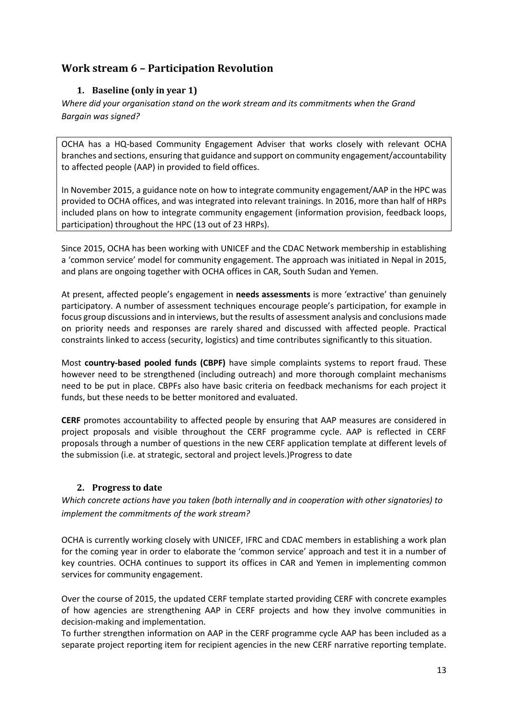# **Work stream 6 – Participation Revolution**

# **1. Baseline (only in year 1)**

*Where did your organisation stand on the work stream and its commitments when the Grand Bargain was signed?*

OCHA has a HQ-based Community Engagement Adviser that works closely with relevant OCHA branches and sections, ensuring that guidance and support on community engagement/accountability to affected people (AAP) in provided to field offices.

In November 2015, a guidance note on how to integrate community engagement/AAP in the HPC was provided to OCHA offices, and was integrated into relevant trainings. In 2016, more than half of HRPs included plans on how to integrate community engagement (information provision, feedback loops, participation) throughout the HPC (13 out of 23 HRPs).

Since 2015, OCHA has been working with UNICEF and the CDAC Network membership in establishing a 'common service' model for community engagement. The approach was initiated in Nepal in 2015, and plans are ongoing together with OCHA offices in CAR, South Sudan and Yemen.

At present, affected people's engagement in **needs assessments** is more 'extractive' than genuinely participatory. A number of assessment techniques encourage people's participation, for example in focus group discussions and in interviews, but the results of assessment analysis and conclusions made on priority needs and responses are rarely shared and discussed with affected people. Practical constraints linked to access (security, logistics) and time contributes significantly to this situation.

Most **country-based pooled funds (CBPF)** have simple complaints systems to report fraud. These however need to be strengthened (including outreach) and more thorough complaint mechanisms need to be put in place. CBPFs also have basic criteria on feedback mechanisms for each project it funds, but these needs to be better monitored and evaluated.

**CERF** promotes accountability to affected people by ensuring that AAP measures are considered in project proposals and visible throughout the CERF programme cycle. AAP is reflected in CERF proposals through a number of questions in the new CERF application template at different levels of the submission (i.e. at strategic, sectoral and project levels.)Progress to date

# **2. Progress to date**

*Which concrete actions have you taken (both internally and in cooperation with other signatories) to implement the commitments of the work stream?* 

OCHA is currently working closely with UNICEF, IFRC and CDAC members in establishing a work plan for the coming year in order to elaborate the 'common service' approach and test it in a number of key countries. OCHA continues to support its offices in CAR and Yemen in implementing common services for community engagement.

Over the course of 2015, the updated CERF template started providing CERF with concrete examples of how agencies are strengthening AAP in CERF projects and how they involve communities in decision-making and implementation.

To further strengthen information on AAP in the CERF programme cycle AAP has been included as a separate project reporting item for recipient agencies in the new CERF narrative reporting template.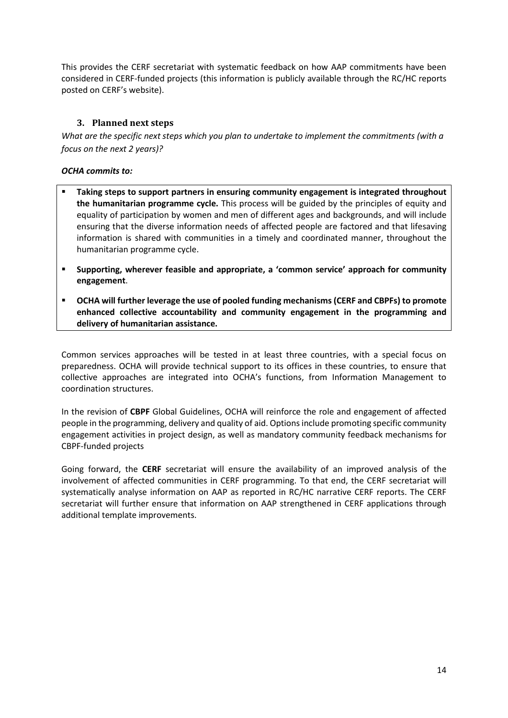This provides the CERF secretariat with systematic feedback on how AAP commitments have been considered in CERF-funded projects (this information is publicly available through the RC/HC reports posted on CERF's website).

## **3. Planned next steps**

*What are the specific next steps which you plan to undertake to implement the commitments (with a focus on the next 2 years)?*

#### *OCHA commits to:*

- **Taking steps to support partners in ensuring community engagement is integrated throughout the humanitarian programme cycle.** This process will be guided by the principles of equity and equality of participation by women and men of different ages and backgrounds, and will include ensuring that the diverse information needs of affected people are factored and that lifesaving information is shared with communities in a timely and coordinated manner, throughout the humanitarian programme cycle.
- **Supporting, wherever feasible and appropriate, a 'common service' approach for community engagement**.
- **OCHA will further leverage the use of pooled funding mechanisms (CERF and CBPFs) to promote enhanced collective accountability and community engagement in the programming and delivery of humanitarian assistance.**

Common services approaches will be tested in at least three countries, with a special focus on preparedness. OCHA will provide technical support to its offices in these countries, to ensure that collective approaches are integrated into OCHA's functions, from Information Management to coordination structures.

In the revision of **CBPF** Global Guidelines, OCHA will reinforce the role and engagement of affected people in the programming, delivery and quality of aid. Options include promoting specific community engagement activities in project design, as well as mandatory community feedback mechanisms for CBPF-funded projects

Going forward, the **CERF** secretariat will ensure the availability of an improved analysis of the involvement of affected communities in CERF programming. To that end, the CERF secretariat will systematically analyse information on AAP as reported in RC/HC narrative CERF reports. The CERF secretariat will further ensure that information on AAP strengthened in CERF applications through additional template improvements.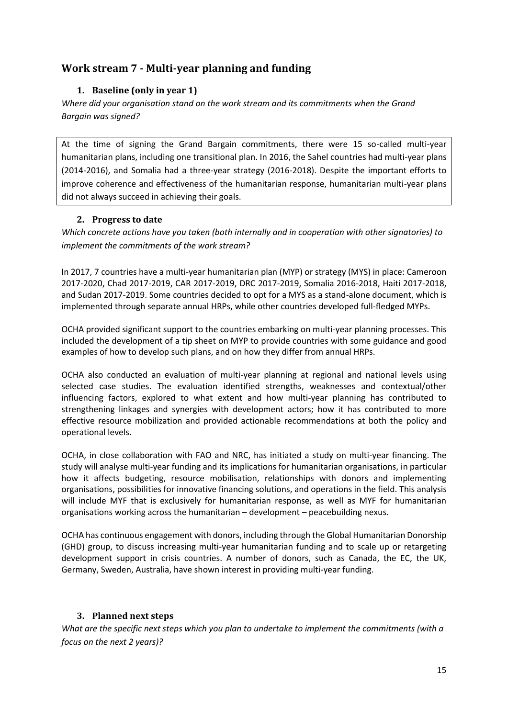# **Work stream 7 - Multi-year planning and funding**

# **1. Baseline (only in year 1)**

*Where did your organisation stand on the work stream and its commitments when the Grand Bargain was signed?*

At the time of signing the Grand Bargain commitments, there were 15 so-called multi-year humanitarian plans, including one transitional plan. In 2016, the Sahel countries had multi-year plans (2014-2016), and Somalia had a three-year strategy (2016-2018). Despite the important efforts to improve coherence and effectiveness of the humanitarian response, humanitarian multi-year plans did not always succeed in achieving their goals.

## **2. Progress to date**

*Which concrete actions have you taken (both internally and in cooperation with other signatories) to implement the commitments of the work stream?* 

In 2017, 7 countries have a multi-year humanitarian plan (MYP) or strategy (MYS) in place: Cameroon 2017-2020, Chad 2017-2019, CAR 2017-2019, DRC 2017-2019, Somalia 2016-2018, Haiti 2017-2018, and Sudan 2017-2019. Some countries decided to opt for a MYS as a stand-alone document, which is implemented through separate annual HRPs, while other countries developed full-fledged MYPs.

OCHA provided significant support to the countries embarking on multi-year planning processes. This included the development of a tip sheet on MYP to provide countries with some guidance and good examples of how to develop such plans, and on how they differ from annual HRPs.

OCHA also conducted an evaluation of multi-year planning at regional and national levels using selected case studies. The evaluation identified strengths, weaknesses and contextual/other influencing factors, explored to what extent and how multi-year planning has contributed to strengthening linkages and synergies with development actors; how it has contributed to more effective resource mobilization and provided actionable recommendations at both the policy and operational levels.

OCHA, in close collaboration with FAO and NRC, has initiated a study on multi-year financing. The study will analyse multi-year funding and its implications for humanitarian organisations, in particular how it affects budgeting, resource mobilisation, relationships with donors and implementing organisations, possibilities for innovative financing solutions, and operations in the field. This analysis will include MYF that is exclusively for humanitarian response, as well as MYF for humanitarian organisations working across the humanitarian – development – peacebuilding nexus.

OCHA has continuous engagement with donors, including through the Global Humanitarian Donorship (GHD) group, to discuss increasing multi-year humanitarian funding and to scale up or retargeting development support in crisis countries. A number of donors, such as Canada, the EC, the UK, Germany, Sweden, Australia, have shown interest in providing multi-year funding.

#### **3. Planned next steps**

*What are the specific next steps which you plan to undertake to implement the commitments (with a focus on the next 2 years)?*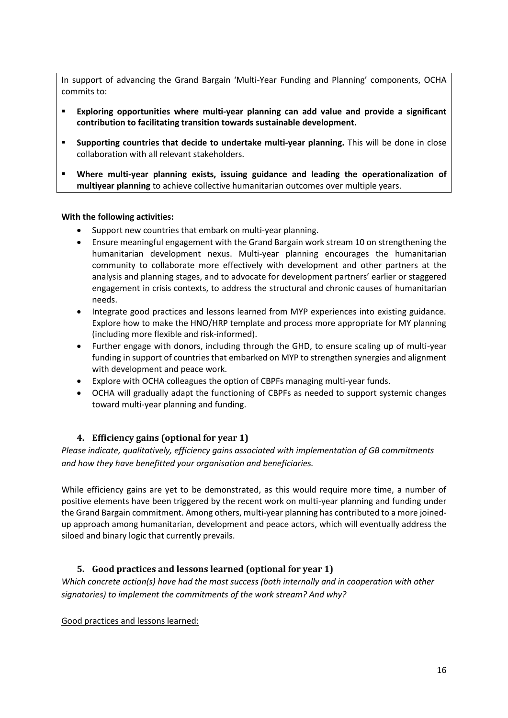In support of advancing the Grand Bargain 'Multi-Year Funding and Planning' components, OCHA commits to:

- **Exploring opportunities where multi-year planning can add value and provide a significant contribution to facilitating transition towards sustainable development.**
- **Supporting countries that decide to undertake multi-year planning.** This will be done in close collaboration with all relevant stakeholders.
- **Where multi-year planning exists, issuing guidance and leading the operationalization of multiyear planning** to achieve collective humanitarian outcomes over multiple years.

#### **With the following activities:**

- Support new countries that embark on multi-year planning.
- Ensure meaningful engagement with the Grand Bargain work stream 10 on strengthening the humanitarian development nexus. Multi-year planning encourages the humanitarian community to collaborate more effectively with development and other partners at the analysis and planning stages, and to advocate for development partners' earlier or staggered engagement in crisis contexts, to address the structural and chronic causes of humanitarian needs.
- Integrate good practices and lessons learned from MYP experiences into existing guidance. Explore how to make the HNO/HRP template and process more appropriate for MY planning (including more flexible and risk-informed).
- Further engage with donors, including through the GHD, to ensure scaling up of multi-year funding in support of countries that embarked on MYP to strengthen synergies and alignment with development and peace work.
- Explore with OCHA colleagues the option of CBPFs managing multi-year funds.
- OCHA will gradually adapt the functioning of CBPFs as needed to support systemic changes toward multi-year planning and funding.

#### **4. Efficiency gains (optional for year 1)**

*Please indicate, qualitatively, efficiency gains associated with implementation of GB commitments and how they have benefitted your organisation and beneficiaries.*

While efficiency gains are yet to be demonstrated, as this would require more time, a number of positive elements have been triggered by the recent work on multi-year planning and funding under the Grand Bargain commitment. Among others, multi-year planning has contributed to a more joinedup approach among humanitarian, development and peace actors, which will eventually address the siloed and binary logic that currently prevails.

#### **5. Good practices and lessons learned (optional for year 1)**

*Which concrete action(s) have had the most success (both internally and in cooperation with other signatories) to implement the commitments of the work stream? And why?*

#### Good practices and lessons learned: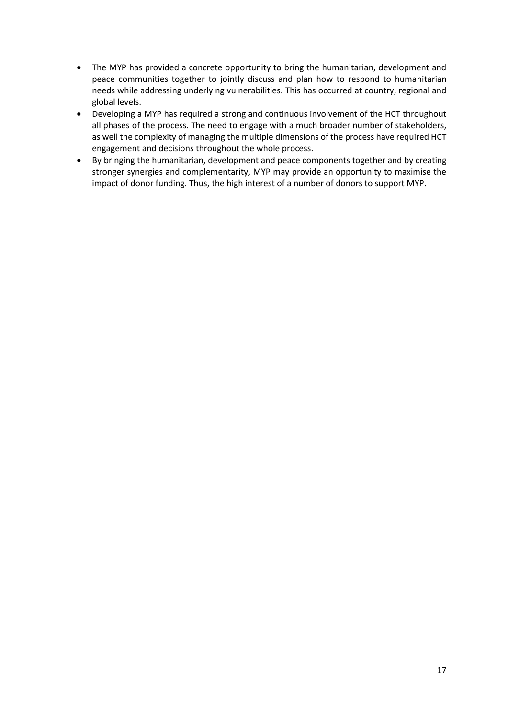- The MYP has provided a concrete opportunity to bring the humanitarian, development and peace communities together to jointly discuss and plan how to respond to humanitarian needs while addressing underlying vulnerabilities. This has occurred at country, regional and global levels.
- Developing a MYP has required a strong and continuous involvement of the HCT throughout all phases of the process. The need to engage with a much broader number of stakeholders, as well the complexity of managing the multiple dimensions of the process have required HCT engagement and decisions throughout the whole process.
- By bringing the humanitarian, development and peace components together and by creating stronger synergies and complementarity, MYP may provide an opportunity to maximise the impact of donor funding. Thus, the high interest of a number of donors to support MYP.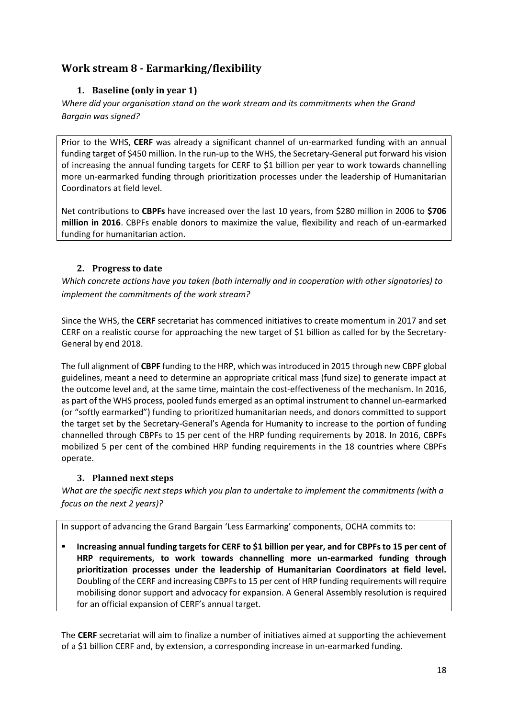# **Work stream 8 - Earmarking/flexibility**

# **1. Baseline (only in year 1)**

*Where did your organisation stand on the work stream and its commitments when the Grand Bargain was signed?*

Prior to the WHS, **CERF** was already a significant channel of un-earmarked funding with an annual funding target of \$450 million. In the run-up to the WHS, the Secretary-General put forward his vision of increasing the annual funding targets for CERF to \$1 billion per year to work towards channelling more un-earmarked funding through prioritization processes under the leadership of Humanitarian Coordinators at field level.

Net contributions to **CBPFs** have increased over the last 10 years, from \$280 million in 2006 to **\$706 million in 2016**. CBPFs enable donors to maximize the value, flexibility and reach of un-earmarked funding for humanitarian action.

# **2. Progress to date**

*Which concrete actions have you taken (both internally and in cooperation with other signatories) to implement the commitments of the work stream?* 

Since the WHS, the **CERF** secretariat has commenced initiatives to create momentum in 2017 and set CERF on a realistic course for approaching the new target of \$1 billion as called for by the Secretary-General by end 2018.

The full alignment of **CBPF** funding to the HRP, which was introduced in 2015 through new CBPF global guidelines, meant a need to determine an appropriate critical mass (fund size) to generate impact at the outcome level and, at the same time, maintain the cost-effectiveness of the mechanism. In 2016, as part of the WHS process, pooled funds emerged as an optimal instrument to channel un-earmarked (or "softly earmarked") funding to prioritized humanitarian needs, and donors committed to support the target set by the Secretary-General's Agenda for Humanity to increase to the portion of funding channelled through CBPFs to 15 per cent of the HRP funding requirements by 2018. In 2016, CBPFs mobilized 5 per cent of the combined HRP funding requirements in the 18 countries where CBPFs operate.

# **3. Planned next steps**

*What are the specific next steps which you plan to undertake to implement the commitments (with a focus on the next 2 years)?*

In support of advancing the Grand Bargain 'Less Earmarking' components, OCHA commits to:

 **Increasing annual funding targets for CERF to \$1 billion per year, and for CBPFs to 15 per cent of HRP requirements, to work towards channelling more un-earmarked funding through prioritization processes under the leadership of Humanitarian Coordinators at field level.**  Doubling of the CERF and increasing CBPFsto 15 per cent of HRP funding requirements will require mobilising donor support and advocacy for expansion. A General Assembly resolution is required for an official expansion of CERF's annual target.

The **CERF** secretariat will aim to finalize a number of initiatives aimed at supporting the achievement of a \$1 billion CERF and, by extension, a corresponding increase in un-earmarked funding.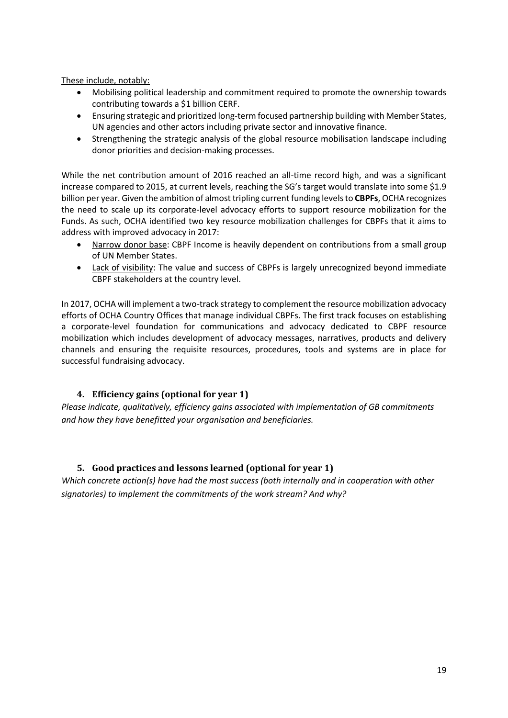These include, notably:

- Mobilising political leadership and commitment required to promote the ownership towards contributing towards a \$1 billion CERF.
- Ensuring strategic and prioritized long-term focused partnership building with Member States, UN agencies and other actors including private sector and innovative finance.
- Strengthening the strategic analysis of the global resource mobilisation landscape including donor priorities and decision-making processes.

While the net contribution amount of 2016 reached an all-time record high, and was a significant increase compared to 2015, at current levels, reaching the SG's target would translate into some \$1.9 billion per year. Given the ambition of almost tripling current funding levels to **CBPFs**, OCHA recognizes the need to scale up its corporate-level advocacy efforts to support resource mobilization for the Funds. As such, OCHA identified two key resource mobilization challenges for CBPFs that it aims to address with improved advocacy in 2017:

- Narrow donor base: CBPF Income is heavily dependent on contributions from a small group of UN Member States.
- Lack of visibility: The value and success of CBPFs is largely unrecognized beyond immediate CBPF stakeholders at the country level.

In 2017, OCHA will implement a two-track strategy to complement the resource mobilization advocacy efforts of OCHA Country Offices that manage individual CBPFs. The first track focuses on establishing a corporate-level foundation for communications and advocacy dedicated to CBPF resource mobilization which includes development of advocacy messages, narratives, products and delivery channels and ensuring the requisite resources, procedures, tools and systems are in place for successful fundraising advocacy.

# **4. Efficiency gains (optional for year 1)**

*Please indicate, qualitatively, efficiency gains associated with implementation of GB commitments and how they have benefitted your organisation and beneficiaries.*

#### **5. Good practices and lessons learned (optional for year 1)**

*Which concrete action(s) have had the most success (both internally and in cooperation with other signatories) to implement the commitments of the work stream? And why?*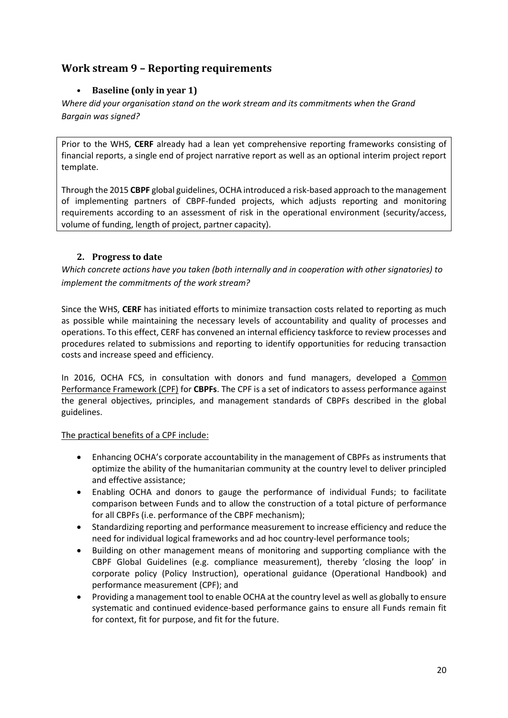# **Work stream 9 – Reporting requirements**

# • **Baseline (only in year 1)**

*Where did your organisation stand on the work stream and its commitments when the Grand Bargain was signed?*

Prior to the WHS, **CERF** already had a lean yet comprehensive reporting frameworks consisting of financial reports, a single end of project narrative report as well as an optional interim project report template.

Through the 2015 **CBPF** global guidelines, OCHA introduced a risk-based approach to the management of implementing partners of CBPF-funded projects, which adjusts reporting and monitoring requirements according to an assessment of risk in the operational environment (security/access, volume of funding, length of project, partner capacity).

#### **2. Progress to date**

*Which concrete actions have you taken (both internally and in cooperation with other signatories) to implement the commitments of the work stream?* 

Since the WHS, **CERF** has initiated efforts to minimize transaction costs related to reporting as much as possible while maintaining the necessary levels of accountability and quality of processes and operations. To this effect, CERF has convened an internal efficiency taskforce to review processes and procedures related to submissions and reporting to identify opportunities for reducing transaction costs and increase speed and efficiency.

In 2016, OCHA FCS, in consultation with donors and fund managers, developed a Common Performance Framework (CPF) for **CBPFs**. The CPF is a set of indicators to assess performance against the general objectives, principles, and management standards of CBPFs described in the global guidelines.

#### The practical benefits of a CPF include:

- Enhancing OCHA's corporate accountability in the management of CBPFs as instruments that optimize the ability of the humanitarian community at the country level to deliver principled and effective assistance;
- Enabling OCHA and donors to gauge the performance of individual Funds; to facilitate comparison between Funds and to allow the construction of a total picture of performance for all CBPFs (i.e. performance of the CBPF mechanism);
- Standardizing reporting and performance measurement to increase efficiency and reduce the need for individual logical frameworks and ad hoc country-level performance tools;
- Building on other management means of monitoring and supporting compliance with the CBPF Global Guidelines (e.g. compliance measurement), thereby 'closing the loop' in corporate policy (Policy Instruction), operational guidance (Operational Handbook) and performance measurement (CPF); and
- Providing a management tool to enable OCHA at the country level as well as globally to ensure systematic and continued evidence-based performance gains to ensure all Funds remain fit for context, fit for purpose, and fit for the future.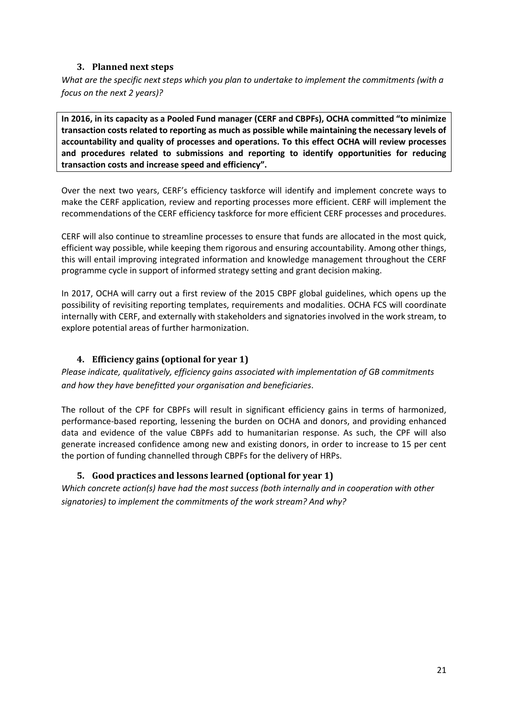# **3. Planned next steps**

*What are the specific next steps which you plan to undertake to implement the commitments (with a focus on the next 2 years)?*

**In 2016, in its capacity as a Pooled Fund manager (CERF and CBPFs), OCHA committed "to minimize transaction costs related to reporting as much as possible while maintaining the necessary levels of accountability and quality of processes and operations. To this effect OCHA will review processes and procedures related to submissions and reporting to identify opportunities for reducing transaction costs and increase speed and efficiency".** 

Over the next two years, CERF's efficiency taskforce will identify and implement concrete ways to make the CERF application, review and reporting processes more efficient. CERF will implement the recommendations of the CERF efficiency taskforce for more efficient CERF processes and procedures.

CERF will also continue to streamline processes to ensure that funds are allocated in the most quick, efficient way possible, while keeping them rigorous and ensuring accountability. Among other things, this will entail improving integrated information and knowledge management throughout the CERF programme cycle in support of informed strategy setting and grant decision making.

In 2017, OCHA will carry out a first review of the 2015 CBPF global guidelines, which opens up the possibility of revisiting reporting templates, requirements and modalities. OCHA FCS will coordinate internally with CERF, and externally with stakeholders and signatories involved in the work stream, to explore potential areas of further harmonization.

# **4. Efficiency gains (optional for year 1)**

*Please indicate, qualitatively, efficiency gains associated with implementation of GB commitments and how they have benefitted your organisation and beneficiaries*.

The rollout of the CPF for CBPFs will result in significant efficiency gains in terms of harmonized, performance-based reporting, lessening the burden on OCHA and donors, and providing enhanced data and evidence of the value CBPFs add to humanitarian response. As such, the CPF will also generate increased confidence among new and existing donors, in order to increase to 15 per cent the portion of funding channelled through CBPFs for the delivery of HRPs.

# **5. Good practices and lessons learned (optional for year 1)**

*Which concrete action(s) have had the most success (both internally and in cooperation with other signatories) to implement the commitments of the work stream? And why?*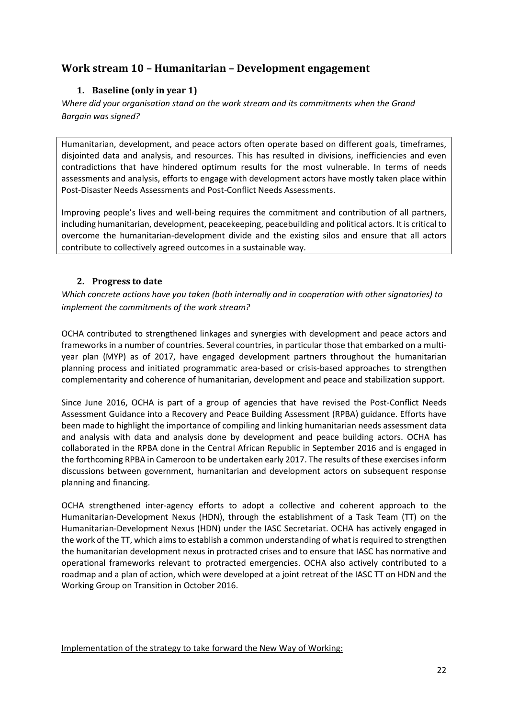# **Work stream 10 – Humanitarian – Development engagement**

# **1. Baseline (only in year 1)**

*Where did your organisation stand on the work stream and its commitments when the Grand Bargain was signed?*

Humanitarian, development, and peace actors often operate based on different goals, timeframes, disjointed data and analysis, and resources. This has resulted in divisions, inefficiencies and even contradictions that have hindered optimum results for the most vulnerable. In terms of needs assessments and analysis, efforts to engage with development actors have mostly taken place within Post-Disaster Needs Assessments and Post-Conflict Needs Assessments.

Improving people's lives and well-being requires the commitment and contribution of all partners, including humanitarian, development, peacekeeping, peacebuilding and political actors. It is critical to overcome the humanitarian-development divide and the existing silos and ensure that all actors contribute to collectively agreed outcomes in a sustainable way.

# **2. Progress to date**

*Which concrete actions have you taken (both internally and in cooperation with other signatories) to implement the commitments of the work stream?* 

OCHA contributed to strengthened linkages and synergies with development and peace actors and frameworks in a number of countries. Several countries, in particular those that embarked on a multiyear plan (MYP) as of 2017, have engaged development partners throughout the humanitarian planning process and initiated programmatic area-based or crisis-based approaches to strengthen complementarity and coherence of humanitarian, development and peace and stabilization support.

Since June 2016, OCHA is part of a group of agencies that have revised the Post-Conflict Needs Assessment Guidance into a Recovery and Peace Building Assessment (RPBA) guidance. Efforts have been made to highlight the importance of compiling and linking humanitarian needs assessment data and analysis with data and analysis done by development and peace building actors. OCHA has collaborated in the RPBA done in the Central African Republic in September 2016 and is engaged in the forthcoming RPBA in Cameroon to be undertaken early 2017. The results of these exercises inform discussions between government, humanitarian and development actors on subsequent response planning and financing.

OCHA strengthened inter-agency efforts to adopt a collective and coherent approach to the Humanitarian-Development Nexus (HDN), through the establishment of a Task Team (TT) on the Humanitarian-Development Nexus (HDN) under the IASC Secretariat. OCHA has actively engaged in the work of the TT, which aims to establish a common understanding of what is required to strengthen the humanitarian development nexus in protracted crises and to ensure that IASC has normative and operational frameworks relevant to protracted emergencies. OCHA also actively contributed to a roadmap and a plan of action, which were developed at a joint retreat of the IASC TT on HDN and the Working Group on Transition in October 2016.

Implementation of the strategy to take forward the New Way of Working: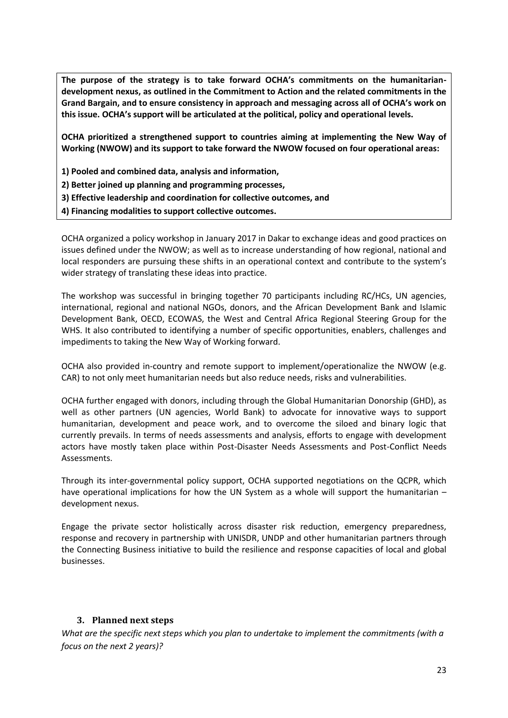**The purpose of the strategy is to take forward OCHA's commitments on the humanitariandevelopment nexus, as outlined in the Commitment to Action and the related commitments in the Grand Bargain, and to ensure consistency in approach and messaging across all of OCHA's work on this issue. OCHA's support will be articulated at the political, policy and operational levels.**

**OCHA prioritized a strengthened support to countries aiming at implementing the New Way of Working (NWOW) and its support to take forward the NWOW focused on four operational areas:** 

**1) Pooled and combined data, analysis and information,** 

**2) Better joined up planning and programming processes,** 

**3) Effective leadership and coordination for collective outcomes, and** 

**4) Financing modalities to support collective outcomes.** 

OCHA organized a policy workshop in January 2017 in Dakar to exchange ideas and good practices on issues defined under the NWOW; as well as to increase understanding of how regional, national and local responders are pursuing these shifts in an operational context and contribute to the system's wider strategy of translating these ideas into practice.

The workshop was successful in bringing together 70 participants including RC/HCs, UN agencies, international, regional and national NGOs, donors, and the African Development Bank and Islamic Development Bank, OECD, ECOWAS, the West and Central Africa Regional Steering Group for the WHS. It also contributed to identifying a number of specific opportunities, enablers, challenges and impediments to taking the New Way of Working forward.

OCHA also provided in-country and remote support to implement/operationalize the NWOW (e.g. CAR) to not only meet humanitarian needs but also reduce needs, risks and vulnerabilities.

OCHA further engaged with donors, including through the Global Humanitarian Donorship (GHD), as well as other partners (UN agencies, World Bank) to advocate for innovative ways to support humanitarian, development and peace work, and to overcome the siloed and binary logic that currently prevails. In terms of needs assessments and analysis, efforts to engage with development actors have mostly taken place within Post-Disaster Needs Assessments and Post-Conflict Needs Assessments.

Through its inter-governmental policy support, OCHA supported negotiations on the QCPR, which have operational implications for how the UN System as a whole will support the humanitarian – development nexus.

Engage the private sector holistically across disaster risk reduction, emergency preparedness, response and recovery in partnership with UNISDR, UNDP and other humanitarian partners through the Connecting Business initiative to build the resilience and response capacities of local and global businesses.

#### **3. Planned next steps**

*What are the specific next steps which you plan to undertake to implement the commitments (with a focus on the next 2 years)?*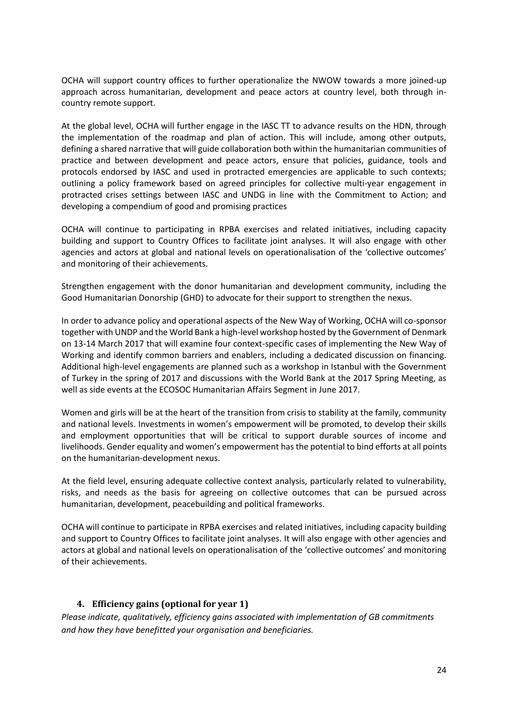OCHA will support country offices to further operationalize the NWOW towards a more joined-up approach across humanitarian, development and peace actors at country level, both through incountry remote support.

At the global level, OCHA will further engage in the IASC TT to advance results on the HDN, through the implementation of the roadmap and plan of action. This will include, among other outputs, defining a shared narrative that will guide collaboration both within the humanitarian communities of practice and between development and peace actors, ensure that policies, guidance, tools and protocols endorsed by IASC and used in protracted emergencies are applicable to such contexts; outlining a policy framework based on agreed principles for collective multi-year engagement in protracted crises settings between IASC and UNDG in line with the Commitment to Action; and developing a compendium of good and promising practices

OCHA will continue to participating in RPBA exercises and related initiatives, including capacity building and support to Country Offices to facilitate joint analyses. It will also engage with other agencies and actors at global and national levels on operationalisation of the 'collective outcomes' and monitoring of their achievements.

Strengthen engagement with the donor humanitarian and development community, including the Good Humanitarian Donorship (GHD) to advocate for their support to strengthen the nexus.

In order to advance policy and operational aspects of the New Way of Working, OCHA will co-sponsor together with UNDP and the World Bank a high-level workshop hosted by the Government of Denmark on 13-14 March 2017 that will examine four context-specific cases of implementing the New Way of Working and identify common barriers and enablers, including a dedicated discussion on financing. Additional high-level engagements are planned such as a workshop in Istanbul with the Government of Turkey in the spring of 2017 and discussions with the World Bank at the 2017 Spring Meeting, as well as side events at the ECOSOC Humanitarian Affairs Segment in June 2017.

Women and girls will be at the heart of the transition from crisis to stability at the family, community and national levels. Investments in women's empowerment will be promoted, to develop their skills and employment opportunities that will be critical to support durable sources of income and livelihoods. Gender equality and women's empowerment has the potential to bind efforts at all points on the humanitarian-development nexus.

At the field level, ensuring adequate collective context analysis, particularly related to vulnerability, risks, and needs as the basis for agreeing on collective outcomes that can be pursued across humanitarian, development, peacebuilding and political frameworks.

OCHA will continue to participate in RPBA exercises and related initiatives, including capacity building and support to Country Offices to facilitate joint analyses. It will also engage with other agencies and actors at global and national levels on operationalisation of the 'collective outcomes' and monitoring of their achievements.

#### **4. Efficiency gains (optional for year 1)**

*Please indicate, qualitatively, efficiency gains associated with implementation of GB commitments and how they have benefitted your organisation and beneficiaries.*